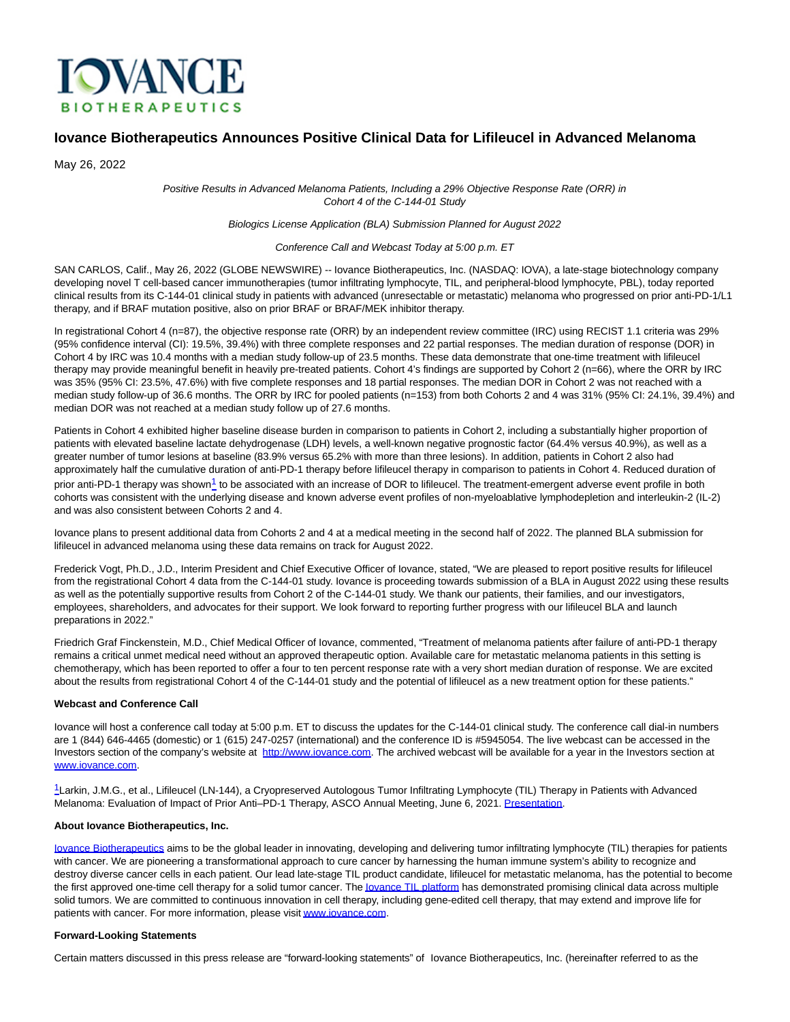

# **Iovance Biotherapeutics Announces Positive Clinical Data for Lifileucel in Advanced Melanoma**

May 26, 2022

Positive Results in Advanced Melanoma Patients, Including a 29% Objective Response Rate (ORR) in Cohort 4 of the C-144-01 Study

#### Biologics License Application (BLA) Submission Planned for August 2022

#### Conference Call and Webcast Today at 5:00 p.m. ET

SAN CARLOS, Calif., May 26, 2022 (GLOBE NEWSWIRE) -- Iovance Biotherapeutics, Inc. (NASDAQ: IOVA), a late-stage biotechnology company developing novel T cell-based cancer immunotherapies (tumor infiltrating lymphocyte, TIL, and peripheral-blood lymphocyte, PBL), today reported clinical results from its C-144-01 clinical study in patients with advanced (unresectable or metastatic) melanoma who progressed on prior anti-PD-1/L1 therapy, and if BRAF mutation positive, also on prior BRAF or BRAF/MEK inhibitor therapy.

In registrational Cohort 4 (n=87), the objective response rate (ORR) by an independent review committee (IRC) using RECIST 1.1 criteria was 29% (95% confidence interval (CI): 19.5%, 39.4%) with three complete responses and 22 partial responses. The median duration of response (DOR) in Cohort 4 by IRC was 10.4 months with a median study follow-up of 23.5 months. These data demonstrate that one-time treatment with lifileucel therapy may provide meaningful benefit in heavily pre-treated patients. Cohort 4's findings are supported by Cohort 2 (n=66), where the ORR by IRC was 35% (95% CI: 23.5%, 47.6%) with five complete responses and 18 partial responses. The median DOR in Cohort 2 was not reached with a median study follow-up of 36.6 months. The ORR by IRC for pooled patients (n=153) from both Cohorts 2 and 4 was 31% (95% CI: 24.1%, 39.4%) and median DOR was not reached at a median study follow up of 27.6 months.

Patients in Cohort 4 exhibited higher baseline disease burden in comparison to patients in Cohort 2, including a substantially higher proportion of patients with elevated baseline lactate dehydrogenase (LDH) levels, a well-known negative prognostic factor (64.4% versus 40.9%), as well as a greater number of tumor lesions at baseline (83.9% versus 65.2% with more than three lesions). In addition, patients in Cohort 2 also had approximately half the cumulative duration of anti-PD-1 therapy before lifileucel therapy in comparison to patients in Cohort 4. Reduced duration of prior anti-PD-[1](https://www.iovance.com/wp-content/uploads/Iovance_ASCO-2021_C-144-01_Cohort-2_Larkin_Presentation_2021-06-06.pdf) therapy was shown<sup>1</sup> to be associated with an increase of DOR to lifileucel. The treatment-emergent adverse event profile in both cohorts was consistent with the underlying disease and known adverse event profiles of non-myeloablative lymphodepletion and interleukin-2 (IL-2) and was also consistent between Cohorts 2 and 4.

Iovance plans to present additional data from Cohorts 2 and 4 at a medical meeting in the second half of 2022. The planned BLA submission for lifileucel in advanced melanoma using these data remains on track for August 2022.

Frederick Vogt, Ph.D., J.D., Interim President and Chief Executive Officer of Iovance, stated, "We are pleased to report positive results for lifileucel from the registrational Cohort 4 data from the C-144-01 study. Iovance is proceeding towards submission of a BLA in August 2022 using these results as well as the potentially supportive results from Cohort 2 of the C-144-01 study. We thank our patients, their families, and our investigators, employees, shareholders, and advocates for their support. We look forward to reporting further progress with our lifileucel BLA and launch preparations in 2022."

Friedrich Graf Finckenstein, M.D., Chief Medical Officer of Iovance, commented, "Treatment of melanoma patients after failure of anti-PD-1 therapy remains a critical unmet medical need without an approved therapeutic option. Available care for metastatic melanoma patients in this setting is chemotherapy, which has been reported to offer a four to ten percent response rate with a very short median duration of response. We are excited about the results from registrational Cohort 4 of the C-144-01 study and the potential of lifileucel as a new treatment option for these patients."

#### **Webcast and Conference Call**

Iovance will host a conference call today at 5:00 p.m. ET to discuss the updates for the C-144-01 clinical study. The conference call dial-in numbers are 1 (844) 646-4465 (domestic) or 1 (615) 247-0257 (international) and the conference ID is #5945054. The live webcast can be accessed in the Investors section of the company's website at [http://www.iovance.com.](http://www.iovance.com/) The archived webcast will be available for a year in the Investors section at [www.iovance.com.](http://www.iovance.com/)

[1](https://www.iovance.com/wp-content/uploads/Iovance_ASCO-2021_C-144-01_Cohort-2_Larkin_Presentation_2021-06-06.pdf)Larkin, J.M.G., et al., Lifileucel (LN-144), a Cryopreserved Autologous Tumor Infiltrating Lymphocyte (TIL) Therapy in Patients with Advanced Melanoma: Evaluation of Impact of Prior Anti–PD-1 Therapy, ASCO Annual Meeting, June 6, 2021. [Presentation.](https://www.iovance.com/wp-content/uploads/Iovance_ASCO-2021_C-144-01_Cohort-2_Larkin_Presentation_2021-06-06.pdf)

#### **About Iovance Biotherapeutics, Inc.**

[Iovance Biotherapeutics a](https://www.iovance.com/)ims to be the global leader in innovating, developing and delivering tumor infiltrating lymphocyte (TIL) therapies for patients with cancer. We are pioneering a transformational approach to cure cancer by harnessing the human immune system's ability to recognize and destroy diverse cancer cells in each patient. Our lead late-stage TIL product candidate, lifileucel for metastatic melanoma, has the potential to become the first approved one-time cell therapy for a solid tumor cancer. The **lovance TIL platform** has demonstrated promising clinical data across multiple solid tumors. We are committed to continuous innovation in cell therapy, including gene-edited cell therapy, that may extend and improve life for patients with cancer. For more information, please visi[t www.iovance.com.](http://www.iovance.com/)

## **Forward-Looking Statements**

Certain matters discussed in this press release are "forward-looking statements" of Iovance Biotherapeutics, Inc. (hereinafter referred to as the